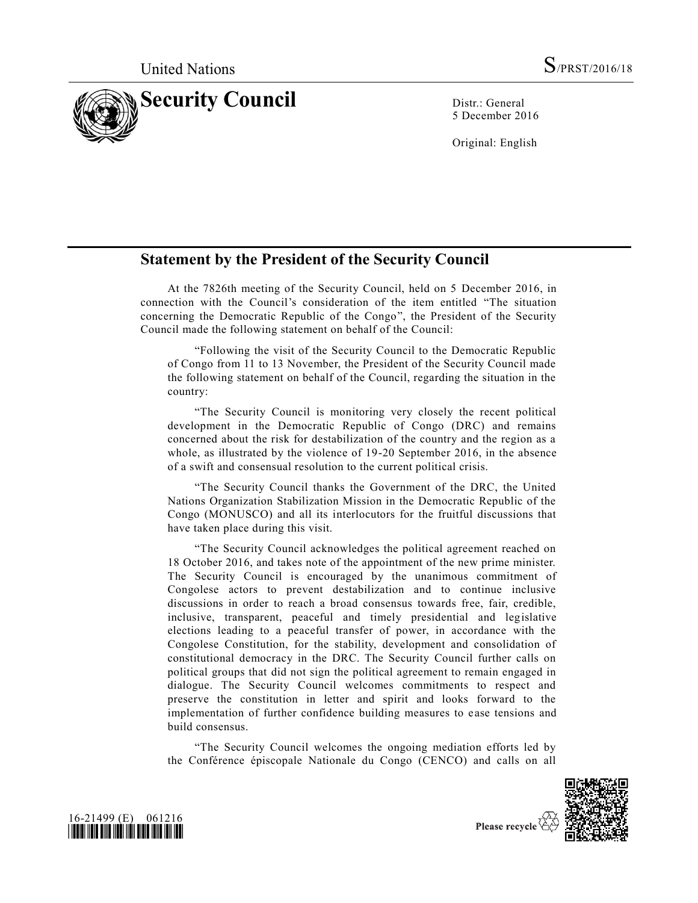

5 December 2016

Original: English

## **Statement by the President of the Security Council**

At the 7826th meeting of the Security Council, held on 5 December 2016, in connection with the Council's consideration of the item entitled "The situation concerning the Democratic Republic of the Congo", the President of the Security Council made the following statement on behalf of the Council:

"Following the visit of the Security Council to the Democratic Republic of Congo from 11 to 13 November, the President of the Security Council made the following statement on behalf of the Council, regarding the situation in the country:

"The Security Council is monitoring very closely the recent political development in the Democratic Republic of Congo (DRC) and remains concerned about the risk for destabilization of the country and the region as a whole, as illustrated by the violence of 19-20 September 2016, in the absence of a swift and consensual resolution to the current political crisis.

"The Security Council thanks the Government of the DRC, the United Nations Organization Stabilization Mission in the Democratic Republic of the Congo (MONUSCO) and all its interlocutors for the fruitful discussions that have taken place during this visit.

"The Security Council acknowledges the political agreement reached on 18 October 2016, and takes note of the appointment of the new prime minister. The Security Council is encouraged by the unanimous commitment of Congolese actors to prevent destabilization and to continue inclusive discussions in order to reach a broad consensus towards free, fair, credible, inclusive, transparent, peaceful and timely presidential and legislative elections leading to a peaceful transfer of power, in accordance with the Congolese Constitution, for the stability, development and consolidation of constitutional democracy in the DRC. The Security Council further calls on political groups that did not sign the political agreement to remain engaged in dialogue. The Security Council welcomes commitments to respect and preserve the constitution in letter and spirit and looks forward to the implementation of further confidence building measures to ease tensions and build consensus.

"The Security Council welcomes the ongoing mediation efforts led by the Conférence épiscopale Nationale du Congo (CENCO) and calls on all





Please recycle  $\overline{\mathbb{V}}$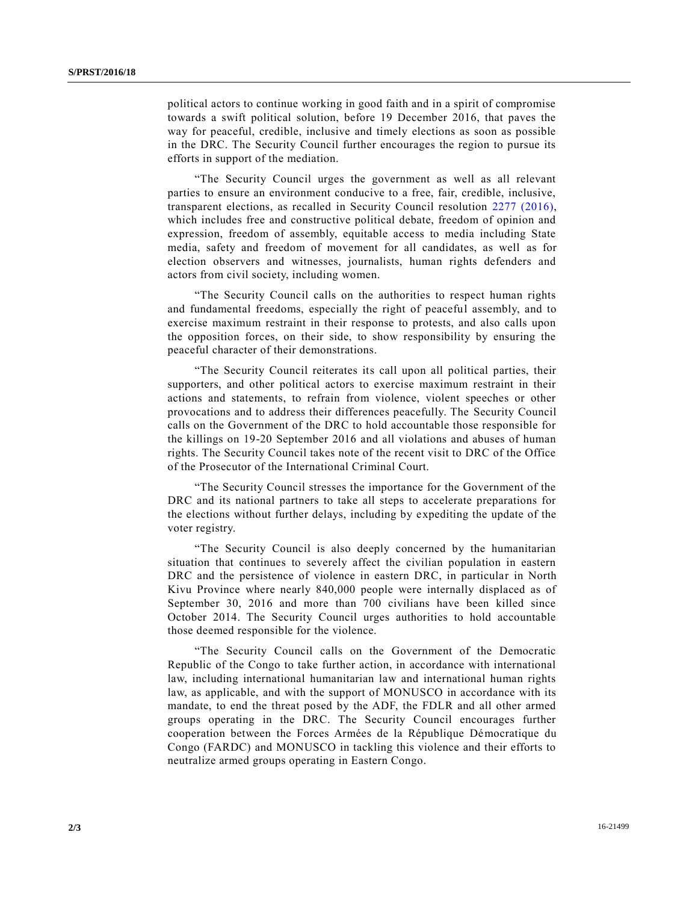political actors to continue working in good faith and in a spirit of compromise towards a swift political solution, before 19 December 2016, that paves the way for peaceful, credible, inclusive and timely elections as soon as possible in the DRC. The Security Council further encourages the region to pursue its efforts in support of the mediation.

"The Security Council urges the government as well as all relevant parties to ensure an environment conducive to a free, fair, credible, inclusive, transparent elections, as recalled in Security Council resolution [2277 \(2016\),](http://undocs.org/S/RES/2277(2016)) which includes free and constructive political debate, freedom of opinion and expression, freedom of assembly, equitable access to media including State media, safety and freedom of movement for all candidates, as well as for election observers and witnesses, journalists, human rights defenders and actors from civil society, including women.

"The Security Council calls on the authorities to respect human rights and fundamental freedoms, especially the right of peaceful assembly, and to exercise maximum restraint in their response to protests, and also calls upon the opposition forces, on their side, to show responsibility by ensuring the peaceful character of their demonstrations.

"The Security Council reiterates its call upon all political parties, their supporters, and other political actors to exercise maximum restraint in their actions and statements, to refrain from violence, violent speeches or other provocations and to address their differences peacefully. The Security Council calls on the Government of the DRC to hold accountable those responsible for the killings on 19-20 September 2016 and all violations and abuses of human rights. The Security Council takes note of the recent visit to DRC of the Office of the Prosecutor of the International Criminal Court.

"The Security Council stresses the importance for the Government of the DRC and its national partners to take all steps to accelerate preparations for the elections without further delays, including by expediting the update of the voter registry.

"The Security Council is also deeply concerned by the humanitarian situation that continues to severely affect the civilian population in eastern DRC and the persistence of violence in eastern DRC, in particular in North Kivu Province where nearly 840,000 people were internally displaced as of September 30, 2016 and more than 700 civilians have been killed since October 2014. The Security Council urges authorities to hold accountable those deemed responsible for the violence.

"The Security Council calls on the Government of the Democratic Republic of the Congo to take further action, in accordance with international law, including international humanitarian law and international human rights law, as applicable, and with the support of MONUSCO in accordance with its mandate, to end the threat posed by the ADF, the FDLR and all other armed groups operating in the DRC. The Security Council encourages further cooperation between the Forces Armées de la République Démocratique du Congo (FARDC) and MONUSCO in tackling this violence and their efforts to neutralize armed groups operating in Eastern Congo.